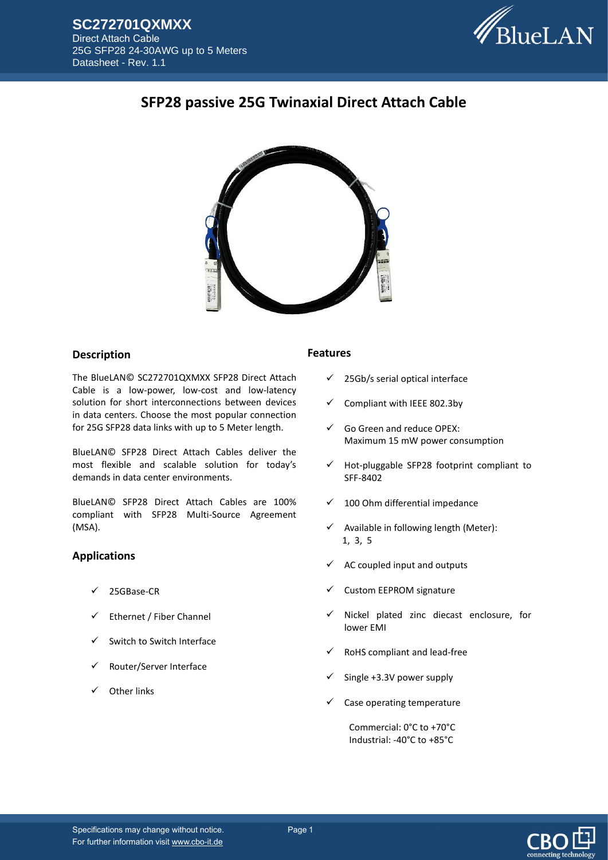

# **SFP28 passive 25G Twinaxial Direct Attach Cable**



## **Description**

The BlueLAN© SC272701QXMXX SFP28 Direct Attach Cable is a low-power, low-cost and low-latency solution for short interconnections between devices in data centers. Choose the most popular connection for 25G SFP28 data links with up to 5 Meter length.

BlueLAN© SFP28 Direct Attach Cables deliver the most flexible and scalable solution for today's demands in data center environments.

BlueLAN© SFP28 Direct Attach Cables are 100% compliant with SFP28 Multi-Source Agreement (MSA).

## **Applications**

- ✓ 25GBase-CR
- ✓ Ethernet / Fiber Channel
- ✓ Switch to Switch Interface
- ✓ Router/Server Interface
- Other links

#### **Features**

- ✓ 25Gb/s serial optical interface
- $\checkmark$  Compliant with IEEE 802.3by
- ✓ Go Green and reduce OPEX: Maximum 15 mW power consumption
- ✓ Hot-pluggable SFP28 footprint compliant to SFF-8402
- $\times$  100 Ohm differential impedance
- ✓ Available in following length (Meter): 1, 3, 5
- AC coupled input and outputs
- Custom EEPROM signature
- Nickel plated zinc diecast enclosure, for lower EMI
- $\checkmark$  RoHS compliant and lead-free
- $\checkmark$  Single +3.3V power supply
- $\checkmark$  Case operating temperature

 Commercial: 0°C to +70°C Industrial: -40°C to +85°C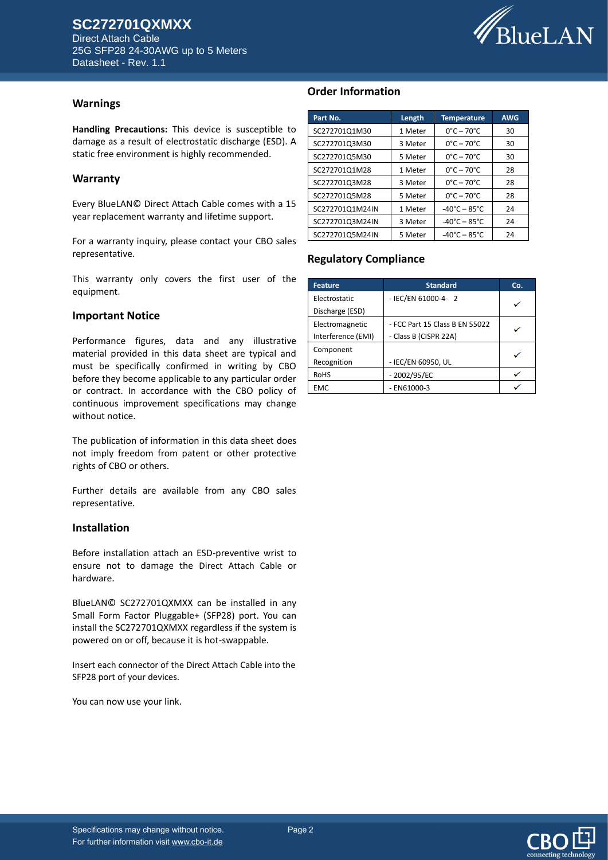

#### **Warnings**

**Handling Precautions:** This device is susceptible to damage as a result of electrostatic discharge (ESD). A static free environment is highly recommended.

#### **Warranty**

Every BlueLAN© Direct Attach Cable comes with a 15 year replacement warranty and lifetime support.

For a warranty inquiry, please contact your CBO sales representative.

This warranty only covers the first user of the equipment.

#### **Important Notice**

Performance figures, data and any illustrative material provided in this data sheet are typical and must be specifically confirmed in writing by CBO before they become applicable to any particular order or contract. In accordance with the CBO policy of continuous improvement specifications may change without notice.

The publication of information in this data sheet does not imply freedom from patent or other protective rights of CBO or others.

Further details are available from any CBO sales representative.

#### **Installation**

Before installation attach an ESD-preventive wrist to ensure not to damage the Direct Attach Cable or hardware.

BlueLAN© SC272701QXMXX can be installed in any Small Form Factor Pluggable+ (SFP28) port. You can install the SC272701QXMXX regardless if the system is powered on or off, because it is hot-swappable.

Insert each connector of the Direct Attach Cable into the SFP28 port of your devices.

You can now use your link.

### **Order Information**

| Part No.        | Length  | <b>Temperature</b>                | <b>AWG</b> |
|-----------------|---------|-----------------------------------|------------|
| SC272701Q1M30   | 1 Meter | $0^{\circ}$ C – 70 $^{\circ}$ C   | 30         |
| SC272701Q3M30   | 3 Meter | $0^{\circ}$ C – 70 $^{\circ}$ C   | 30         |
| SC272701Q5M30   | 5 Meter | $0^{\circ}$ C – 70 $^{\circ}$ C   | 30         |
| SC272701Q1M28   | 1 Meter | $0^{\circ}$ C – 70 $^{\circ}$ C   | 28         |
| SC272701Q3M28   | 3 Meter | $0^{\circ}$ C – 70 $^{\circ}$ C   | 28         |
| SC272701Q5M28   | 5 Meter | $0^{\circ}$ C – 70 $^{\circ}$ C   | 28         |
| SC272701Q1M24IN | 1 Meter | $-40^{\circ}$ C – 85 $^{\circ}$ C | 24         |
| SC272701Q3M24IN | 3 Meter | $-40^{\circ}$ C – 85 $^{\circ}$ C | 24         |
| SC272701Q5M24IN | 5 Meter | $-40^{\circ}$ C – 85 $^{\circ}$ C | 24         |

### **Regulatory Compliance**

| <b>Feature</b>     | <b>Standard</b>                | Co. |  |
|--------------------|--------------------------------|-----|--|
| Electrostatic      | - IEC/EN 61000-4- 2            |     |  |
| Discharge (ESD)    |                                |     |  |
| Electromagnetic    | - FCC Part 15 Class B EN 55022 |     |  |
| Interference (EMI) | - Class B (CISPR 22A)          |     |  |
| Component          |                                |     |  |
| Recognition        | - IEC/EN 60950, UL             |     |  |
| <b>RoHS</b>        | $-2002/95/EC$                  |     |  |
| <b>EMC</b>         | - EN61000-3                    |     |  |

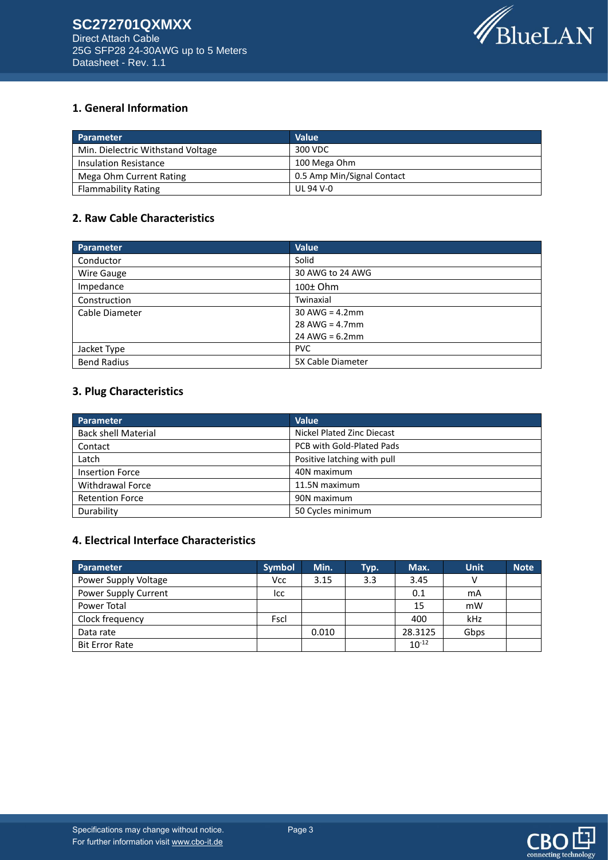

# **1. General Information**

| Parameter                         | <b>Value</b>               |
|-----------------------------------|----------------------------|
| Min. Dielectric Withstand Voltage | 300 VDC                    |
| <b>Insulation Resistance</b>      | 100 Mega Ohm               |
| Mega Ohm Current Rating           | 0.5 Amp Min/Signal Contact |
| <b>Flammability Rating</b>        | UL 94 V-0                  |

## **2. Raw Cable Characteristics**

| Parameter          | Value             |
|--------------------|-------------------|
| Conductor          | Solid             |
| <b>Wire Gauge</b>  | 30 AWG to 24 AWG  |
| Impedance          | 100±Ohm           |
| Construction       | Twinaxial         |
| Cable Diameter     | $30$ AWG = 4.2mm  |
|                    | $28$ AWG = 4.7mm  |
|                    | $24$ AWG = 6.2mm  |
| Jacket Type        | <b>PVC</b>        |
| <b>Bend Radius</b> | 5X Cable Diameter |

## **3. Plug Characteristics**

| Parameter                  | <b>Value</b>                      |
|----------------------------|-----------------------------------|
| <b>Back shell Material</b> | <b>Nickel Plated Zinc Diecast</b> |
| Contact                    | PCB with Gold-Plated Pads         |
| Latch                      | Positive latching with pull       |
| <b>Insertion Force</b>     | 40N maximum                       |
| <b>Withdrawal Force</b>    | 11.5N maximum                     |
| <b>Retention Force</b>     | 90N maximum                       |
| Durability                 | 50 Cycles minimum                 |

# **4. Electrical Interface Characteristics**

| Parameter             | <b>Symbol</b> | Min.  | Typ. | Max.       | <b>Unit</b> | <b>Note</b> |
|-----------------------|---------------|-------|------|------------|-------------|-------------|
| Power Supply Voltage  | <b>Vcc</b>    | 3.15  | 3.3  | 3.45       | ν           |             |
| Power Supply Current  | lcc           |       |      | 0.1        | mA          |             |
| Power Total           |               |       |      | 15         | mW          |             |
| Clock frequency       | Fscl          |       |      | 400        | kHz         |             |
| Data rate             |               | 0.010 |      | 28.3125    | Gbps        |             |
| <b>Bit Error Rate</b> |               |       |      | $10^{-12}$ |             |             |

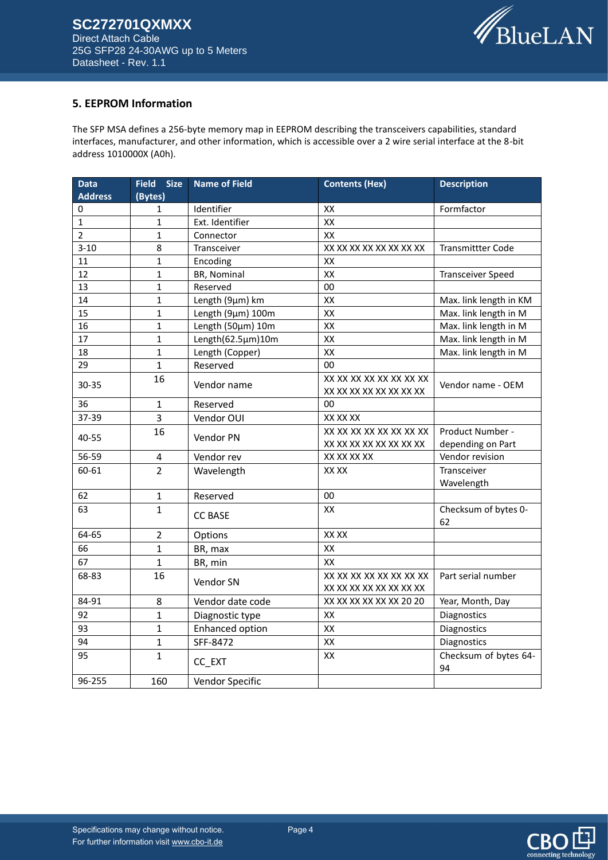

## **5. EEPROM Information**

The SFP MSA defines a 256-byte memory map in EEPROM describing the transceivers capabilities, standard interfaces, manufacturer, and other information, which is accessible over a 2 wire serial interface at the 8-bit address 1010000X (A0h).

| <b>Data</b>    | Field Size     | <b>Name of Field</b> | <b>Contents (Hex)</b>   | <b>Description</b>       |
|----------------|----------------|----------------------|-------------------------|--------------------------|
| <b>Address</b> | (Bytes)        |                      |                         |                          |
| 0              | 1              | Identifier           | XX                      | Formfactor               |
| $\mathbf{1}$   | $\mathbf{1}$   | Ext. Identifier      | XX                      |                          |
| $\overline{2}$ | $\mathbf{1}$   | Connector            | XX                      |                          |
| $3 - 10$       | 8              | Transceiver          | XX XX XX XX XX XX XX XX | <b>Transmittter Code</b> |
| 11             | $\mathbf{1}$   | Encoding             | XX                      |                          |
| 12             | $\mathbf{1}$   | BR, Nominal          | XX                      | <b>Transceiver Speed</b> |
| 13             | $\mathbf{1}$   | Reserved             | 00                      |                          |
| 14             | $\mathbf{1}$   | Length (9µm) km      | XX                      | Max. link length in KM   |
| 15             | $\mathbf{1}$   | Length (9µm) 100m    | XX                      | Max. link length in M    |
| 16             | $\mathbf{1}$   | Length (50µm) 10m    | XX                      | Max. link length in M    |
| 17             | $\mathbf{1}$   | Length(62.5µm)10m    | XX                      | Max. link length in M    |
| 18             | $\mathbf{1}$   | Length (Copper)      | XX                      | Max. link length in M    |
| 29             | 1              | Reserved             | 00                      |                          |
| 30-35          | 16             |                      | XX XX XX XX XX XX XX XX |                          |
|                |                | Vendor name          | XX XX XX XX XX XX XX XX | Vendor name - OEM        |
| 36             | 1              | Reserved             | 00                      |                          |
| 37-39          | 3              | Vendor OUI           | XX XX XX                |                          |
|                | 16             |                      | XX XX XX XX XX XX XX XX | Product Number -         |
| 40-55          |                | Vendor PN            | XX XX XX XX XX XX XX XX | depending on Part        |
| 56-59          | $\overline{4}$ | Vendor rev           | XX XX XX XX             | Vendor revision          |
| 60-61          | $\overline{2}$ | Wavelength           | XX XX                   | Transceiver              |
|                |                |                      |                         | Wavelength               |
| 62             | $\mathbf{1}$   | Reserved             | 00                      |                          |
| 63             | $\mathbf{1}$   |                      | XX                      | Checksum of bytes 0-     |
|                |                | <b>CC BASE</b>       |                         | 62                       |
| 64-65          | $\overline{2}$ | Options              | XX XX                   |                          |
| 66             | $\mathbf{1}$   | BR, max              | XX                      |                          |
| 67             | $\mathbf{1}$   | BR, min              | XX                      |                          |
| 68-83          | 16             |                      | XX XX XX XX XX XX XX XX | Part serial number       |
|                |                | Vendor SN            | XX XX XX XX XX XX XX XX |                          |
| 84-91          | 8              | Vendor date code     | XX XX XX XX XX XX 20 20 | Year, Month, Day         |
| 92             | $\mathbf{1}$   | Diagnostic type      | XX                      | Diagnostics              |
| 93             | 1              | Enhanced option      | XX                      | Diagnostics              |
| 94             | $\mathbf{1}$   | SFF-8472             | XX                      | Diagnostics              |
| 95             | $\mathbf{1}$   |                      | XX                      | Checksum of bytes 64-    |
|                |                | CC_EXT               |                         | 94                       |
| 96-255         | 160            | Vendor Specific      |                         |                          |